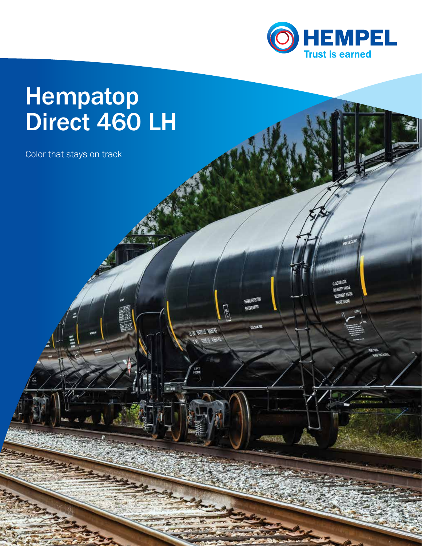

## **Hempatop** Direct 460 LH

Color that stays on track

**WEBS SHOPS BA** 

un serrett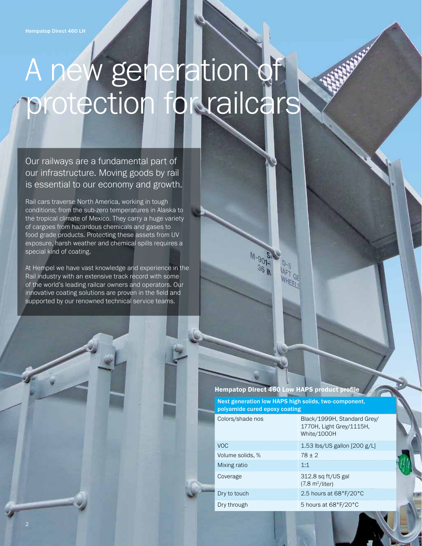# A new generation of protection for railcars

Our railways are a fundamental part of our infrastructure. Moving goods by rail is essential to our economy and growth.

Rail cars traverse North America, working in tough conditions; from the sub-zero temperatures in Alaska to the tropical climate of Mexico. They carry a huge variety of cargoes from hazardous chemicals and gases to food grade products. Protecting these assets from UV exposure, harsh weather and chemical spills requires a special kind of coating.

At Hempel we have vast knowledge and experience in the Rail industry with an extensive track record with some of the world's leading railcar owners and operators. Our innovative coating solutions are proven in the field and supported by our renowned technical service teams.

### Hempatop Direct 460 Low HAPS product profile

Next generation low HAPS high solids, two-component, polyamide cured epoxy coating

| Colors/shade nos | Black/1999H, Standard Grey/<br>1770H, Light Grey/1115H,<br>White/1000H |
|------------------|------------------------------------------------------------------------|
| VOC.             | 1.53 lbs/US gallon [200 g/L]                                           |
| Volume solids, % | $78 + 2$                                                               |
| Mixing ratio     | 1:1                                                                    |
| Coverage         | 312.8 sq ft/US gal<br>$(7.8 \text{ m}^2/\text{liter})$                 |
| Dry to touch     | 2.5 hours at 68°F/20°C                                                 |
| Dry through      | 5 hours at 68°F/20°C                                                   |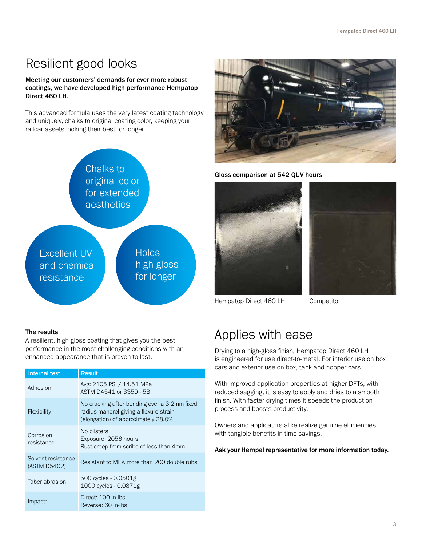### Resilient good looks

### Meeting our customers' demands for ever more robust coatings, we have developed high performance Hempatop Direct 460 LH.

This advanced formula uses the very latest coating technology and uniquely, chalks to original coating color, keeping your railcar assets looking their best for longer.



### The results

A resilient, high gloss coating that gives you the best performance in the most challenging conditions with an enhanced appearance that is proven to last.

| Internal test                      | <b>Result</b>                                                                                                                 |
|------------------------------------|-------------------------------------------------------------------------------------------------------------------------------|
| Adhesion                           | Avg: 2105 PSI / 14.51 MPa<br>ASTM D4541 or 3359 - 5B                                                                          |
| <b>Flexibility</b>                 | No cracking after bending over a 3,2mm fixed<br>radius mandrel giving a flexure strain<br>(elongation) of approximately 28,0% |
| Corrosion<br>resistance            | No blisters<br>Exposure: 2056 hours<br>Rust creep from scribe of less than 4mm                                                |
| Solvent resistance<br>(ASTM D5402) | Resistant to MEK more than 200 double rubs                                                                                    |
| Taber abrasion                     | 500 cycles - 0.0501g<br>1000 cycles - 0.0871g                                                                                 |
| Impact:                            | Direct: 100 in-lbs<br>Reverse: 60 in-lbs                                                                                      |



Gloss comparison at 542 QUV hours





Hempatop Direct 460 LH Competitor

### Applies with ease

Drying to a high-gloss finish, Hempatop Direct 460 LH is engineered for use direct-to-metal. For interior use on box cars and exterior use on box, tank and hopper cars.

With improved application properties at higher DFTs, with reduced sagging, it is easy to apply and dries to a smooth finish. With faster drying times it speeds the production process and boosts productivity.

Owners and applicators alike realize genuine efficiencies with tangible benefits in time savings.

### Ask your Hempel representative for more information today.